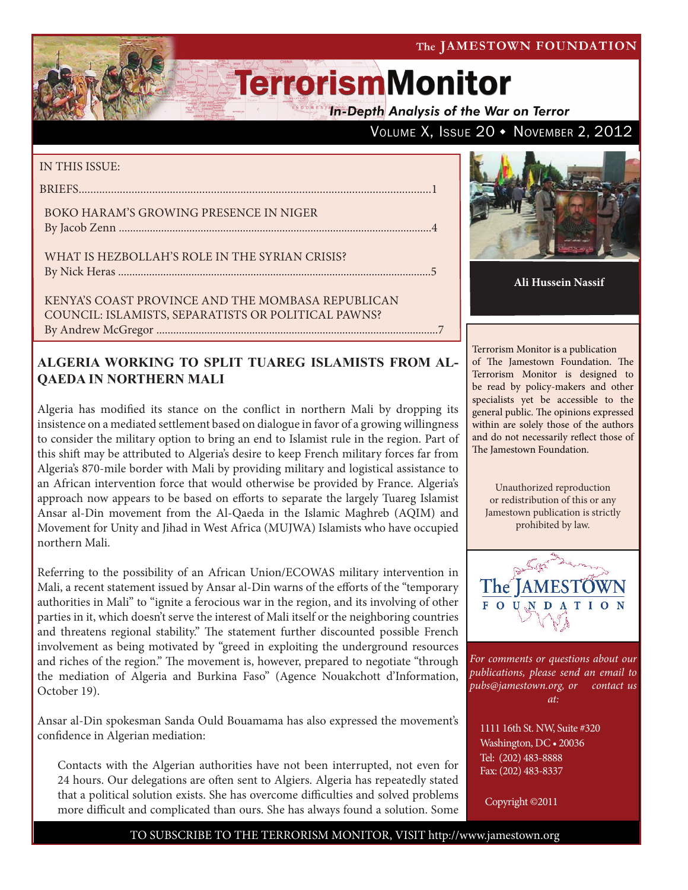#### The JAMESTOWN FOUNDATION

VOLUME X, ISSUE 20 • NOVEMBER 2, 2012

# **TerrorismMonitor**

**In-Depth Analysis of the War on Terror** 

IN THE THE TOOLE

Kenya's Coast Province and the Mombasa Republican Council: Islamists, Separatists or Political Pawns? By Andrew McGregor ....................................................................................................7

### **ALGERIA WORKING TO SPLIT TUAREG ISLAMISTS FROM AL-QAEDA IN NORTHERN MALI**

Algeria has modified its stance on the conflict in northern Mali by dropping its insistence on a mediated settlement based on dialogue in favor of a growing willingness to consider the military option to bring an end to Islamist rule in the region. Part of this shift may be attributed to Algeria's desire to keep French military forces far from Algeria's 870-mile border with Mali by providing military and logistical assistance to an African intervention force that would otherwise be provided by France. Algeria's approach now appears to be based on efforts to separate the largely Tuareg Islamist Ansar al-Din movement from the Al-Qaeda in the Islamic Maghreb (AQIM) and Movement for Unity and Jihad in West Africa (MUJWA) Islamists who have occupied northern Mali.

Referring to the possibility of an African Union/ECOWAS military intervention in Mali, a recent statement issued by Ansar al-Din warns of the efforts of the "temporary authorities in Mali" to "ignite a ferocious war in the region, and its involving of other parties in it, which doesn't serve the interest of Mali itself or the neighboring countries and threatens regional stability." The statement further discounted possible French involvement as being motivated by "greed in exploiting the underground resources and riches of the region." The movement is, however, prepared to negotiate "through the mediation of Algeria and Burkina Faso" (Agence Nouakchott d'Information, October 19).

Ansar al-Din spokesman Sanda Ould Bouamama has also expressed the movement's confidence in Algerian mediation:

Contacts with the Algerian authorities have not been interrupted, not even for 24 hours. Our delegations are often sent to Algiers. Algeria has repeatedly stated that a political solution exists. She has overcome difficulties and solved problems more difficult and complicated than ours. She has always found a solution. Some



**Ali Hussein Nassif**

Terrorism Monitor is a publication of The Jamestown Foundation. The Terrorism Monitor is designed to be read by policy-makers and other specialists yet be accessible to the general public. The opinions expressed within are solely those of the authors and do not necessarily reflect those of The Jamestown Foundation.

Unauthorized reproduction or redistribution of this or any Jamestown publication is strictly prohibited by law.



*For comments or questions about our publications, please send an email to pubs@jamestown.org, or contact us at:* 

1111 16th St. NW, Suite #320 Washington, DC • 20036 Tel: (202) 483-8888 Fax: (202) 483-8337

Copyright ©2011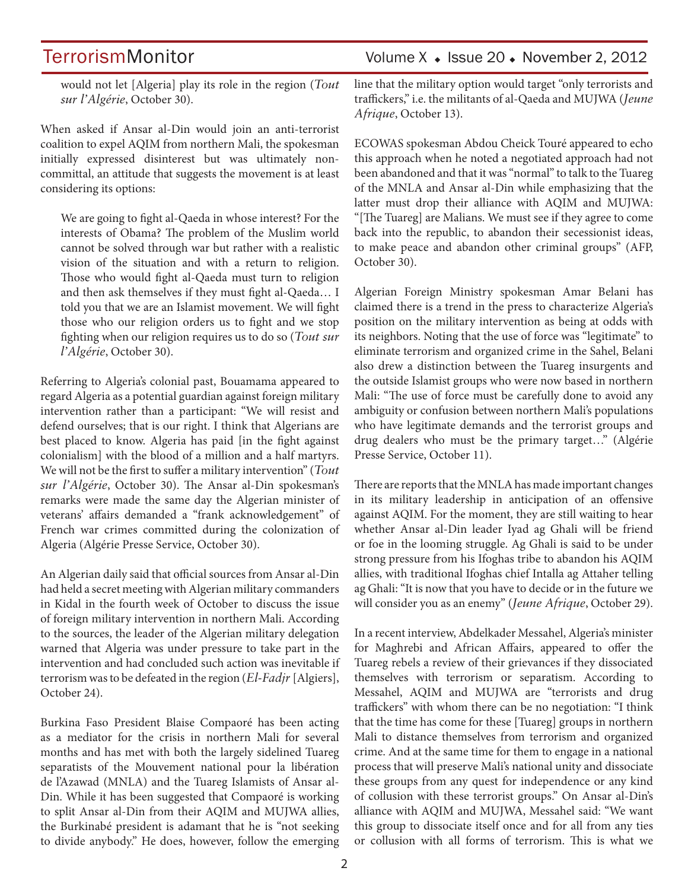TerrorismMonitor Volume X + Issue 20 + November 2, 2012

would not let [Algeria] play its role in the region (*Tout sur l'Algérie*, October 30).

When asked if Ansar al-Din would join an anti-terrorist coalition to expel AQIM from northern Mali, the spokesman initially expressed disinterest but was ultimately noncommittal, an attitude that suggests the movement is at least considering its options:

We are going to fight al-Qaeda in whose interest? For the interests of Obama? The problem of the Muslim world cannot be solved through war but rather with a realistic vision of the situation and with a return to religion. Those who would fight al-Qaeda must turn to religion and then ask themselves if they must fight al-Qaeda… I told you that we are an Islamist movement. We will fight those who our religion orders us to fight and we stop fighting when our religion requires us to do so (*Tout sur l'Algérie*, October 30).

Referring to Algeria's colonial past, Bouamama appeared to regard Algeria as a potential guardian against foreign military intervention rather than a participant: "We will resist and defend ourselves; that is our right. I think that Algerians are best placed to know. Algeria has paid [in the fight against colonialism] with the blood of a million and a half martyrs. We will not be the first to suffer a military intervention" (*Tout sur l'Algérie*, October 30). The Ansar al-Din spokesman's remarks were made the same day the Algerian minister of veterans' affairs demanded a "frank acknowledgement" of French war crimes committed during the colonization of Algeria (Algérie Presse Service, October 30).

An Algerian daily said that official sources from Ansar al-Din had held a secret meeting with Algerian military commanders in Kidal in the fourth week of October to discuss the issue of foreign military intervention in northern Mali. According to the sources, the leader of the Algerian military delegation warned that Algeria was under pressure to take part in the intervention and had concluded such action was inevitable if terrorism was to be defeated in the region (*El-Fadjr* [Algiers], October 24).

Burkina Faso President Blaise Compaoré has been acting as a mediator for the crisis in northern Mali for several months and has met with both the largely sidelined Tuareg separatists of the Mouvement national pour la libération de l'Azawad (MNLA) and the Tuareg Islamists of Ansar al-Din. While it has been suggested that Compaoré is working to split Ansar al-Din from their AQIM and MUJWA allies, the Burkinabé president is adamant that he is "not seeking to divide anybody." He does, however, follow the emerging line that the military option would target "only terrorists and traffickers," i.e. the militants of al-Qaeda and MUJWA (*Jeune Afrique*, October 13).

ECOWAS spokesman Abdou Cheick Touré appeared to echo this approach when he noted a negotiated approach had not been abandoned and that it was "normal" to talk to the Tuareg of the MNLA and Ansar al-Din while emphasizing that the latter must drop their alliance with AQIM and MUJWA: "[The Tuareg] are Malians. We must see if they agree to come back into the republic, to abandon their secessionist ideas, to make peace and abandon other criminal groups" (AFP, October 30).

Algerian Foreign Ministry spokesman Amar Belani has claimed there is a trend in the press to characterize Algeria's position on the military intervention as being at odds with its neighbors. Noting that the use of force was "legitimate" to eliminate terrorism and organized crime in the Sahel, Belani also drew a distinction between the Tuareg insurgents and the outside Islamist groups who were now based in northern Mali: "The use of force must be carefully done to avoid any ambiguity or confusion between northern Mali's populations who have legitimate demands and the terrorist groups and drug dealers who must be the primary target…" (Algérie Presse Service, October 11).

There are reports that the MNLA has made important changes in its military leadership in anticipation of an offensive against AQIM. For the moment, they are still waiting to hear whether Ansar al-Din leader Iyad ag Ghali will be friend or foe in the looming struggle. Ag Ghali is said to be under strong pressure from his Ifoghas tribe to abandon his AQIM allies, with traditional Ifoghas chief Intalla ag Attaher telling ag Ghali: "It is now that you have to decide or in the future we will consider you as an enemy" (*Jeune Afrique*, October 29).

In a recent interview, Abdelkader Messahel, Algeria's minister for Maghrebi and African Affairs, appeared to offer the Tuareg rebels a review of their grievances if they dissociated themselves with terrorism or separatism. According to Messahel, AQIM and MUJWA are "terrorists and drug traffickers" with whom there can be no negotiation: "I think that the time has come for these [Tuareg] groups in northern Mali to distance themselves from terrorism and organized crime. And at the same time for them to engage in a national process that will preserve Mali's national unity and dissociate these groups from any quest for independence or any kind of collusion with these terrorist groups." On Ansar al-Din's alliance with AQIM and MUJWA, Messahel said: "We want this group to dissociate itself once and for all from any ties or collusion with all forms of terrorism. This is what we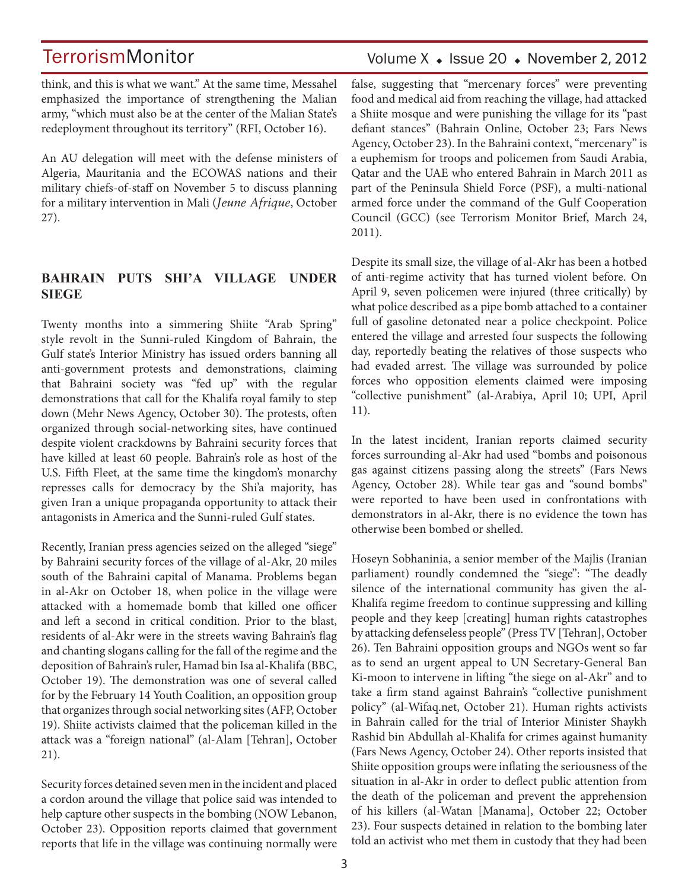think, and this is what we want." At the same time, Messahel emphasized the importance of strengthening the Malian army, "which must also be at the center of the Malian State's redeployment throughout its territory" (RFI, October 16).

An AU delegation will meet with the defense ministers of Algeria, Mauritania and the ECOWAS nations and their military chiefs-of-staff on November 5 to discuss planning for a military intervention in Mali (*Jeune Afrique*, October 27).

### **BAHRAIN PUTS SHI'A VILLAGE UNDER SIEGE**

Twenty months into a simmering Shiite "Arab Spring" style revolt in the Sunni-ruled Kingdom of Bahrain, the Gulf state's Interior Ministry has issued orders banning all anti-government protests and demonstrations, claiming that Bahraini society was "fed up" with the regular demonstrations that call for the Khalifa royal family to step down (Mehr News Agency, October 30). The protests, often organized through social-networking sites, have continued despite violent crackdowns by Bahraini security forces that have killed at least 60 people. Bahrain's role as host of the U.S. Fifth Fleet, at the same time the kingdom's monarchy represses calls for democracy by the Shi'a majority, has given Iran a unique propaganda opportunity to attack their antagonists in America and the Sunni-ruled Gulf states.

Recently, Iranian press agencies seized on the alleged "siege" by Bahraini security forces of the village of al-Akr, 20 miles south of the Bahraini capital of Manama. Problems began in al-Akr on October 18, when police in the village were attacked with a homemade bomb that killed one officer and left a second in critical condition. Prior to the blast, residents of al-Akr were in the streets waving Bahrain's flag and chanting slogans calling for the fall of the regime and the deposition of Bahrain's ruler, Hamad bin Isa al-Khalifa (BBC, October 19). The demonstration was one of several called for by the February 14 Youth Coalition, an opposition group that organizes through social networking sites (AFP, October 19). Shiite activists claimed that the policeman killed in the attack was a "foreign national" (al-Alam [Tehran], October 21).

Security forces detained seven men in the incident and placed a cordon around the village that police said was intended to help capture other suspects in the bombing (NOW Lebanon, October 23). Opposition reports claimed that government reports that life in the village was continuing normally were

### Volume  $X \triangleleft$  Issue 20  $\triangleleft$  November 2, 2012

false, suggesting that "mercenary forces" were preventing food and medical aid from reaching the village, had attacked a Shiite mosque and were punishing the village for its "past defiant stances" (Bahrain Online, October 23; Fars News Agency, October 23). In the Bahraini context, "mercenary" is a euphemism for troops and policemen from Saudi Arabia, Qatar and the UAE who entered Bahrain in March 2011 as part of the Peninsula Shield Force (PSF), a multi-national armed force under the command of the Gulf Cooperation Council (GCC) (see Terrorism Monitor Brief, March 24, 2011).

Despite its small size, the village of al-Akr has been a hotbed of anti-regime activity that has turned violent before. On April 9, seven policemen were injured (three critically) by what police described as a pipe bomb attached to a container full of gasoline detonated near a police checkpoint. Police entered the village and arrested four suspects the following day, reportedly beating the relatives of those suspects who had evaded arrest. The village was surrounded by police forces who opposition elements claimed were imposing "collective punishment" (al-Arabiya, April 10; UPI, April 11).

In the latest incident, Iranian reports claimed security forces surrounding al-Akr had used "bombs and poisonous gas against citizens passing along the streets" (Fars News Agency, October 28). While tear gas and "sound bombs" were reported to have been used in confrontations with demonstrators in al-Akr, there is no evidence the town has otherwise been bombed or shelled.

Hoseyn Sobhaninia, a senior member of the Majlis (Iranian parliament) roundly condemned the "siege": "The deadly silence of the international community has given the al-Khalifa regime freedom to continue suppressing and killing people and they keep [creating] human rights catastrophes by attacking defenseless people" (Press TV [Tehran], October 26). Ten Bahraini opposition groups and NGOs went so far as to send an urgent appeal to UN Secretary-General Ban Ki-moon to intervene in lifting "the siege on al-Akr" and to take a firm stand against Bahrain's "collective punishment policy" (al-Wifaq.net, October 21). Human rights activists in Bahrain called for the trial of Interior Minister Shaykh Rashid bin Abdullah al-Khalifa for crimes against humanity (Fars News Agency, October 24). Other reports insisted that Shiite opposition groups were inflating the seriousness of the situation in al-Akr in order to deflect public attention from the death of the policeman and prevent the apprehension of his killers (al-Watan [Manama], October 22; October 23). Four suspects detained in relation to the bombing later told an activist who met them in custody that they had been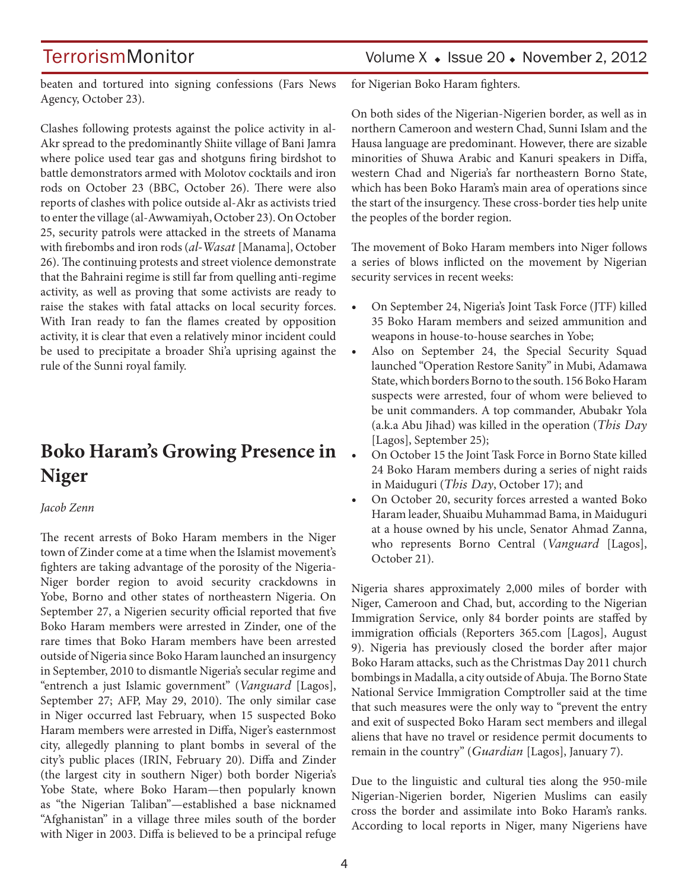### TerrorismMonitor Volume X + Issue 20 + November 2, 2012

beaten and tortured into signing confessions (Fars News Agency, October 23).

Clashes following protests against the police activity in al-Akr spread to the predominantly Shiite village of Bani Jamra where police used tear gas and shotguns firing birdshot to battle demonstrators armed with Molotov cocktails and iron rods on October 23 (BBC, October 26). There were also reports of clashes with police outside al-Akr as activists tried to enter the village (al-Awwamiyah, October 23). On October 25, security patrols were attacked in the streets of Manama with firebombs and iron rods (*al-Wasat* [Manama], October 26). The continuing protests and street violence demonstrate that the Bahraini regime is still far from quelling anti-regime activity, as well as proving that some activists are ready to raise the stakes with fatal attacks on local security forces. With Iran ready to fan the flames created by opposition activity, it is clear that even a relatively minor incident could be used to precipitate a broader Shi'a uprising against the rule of the Sunni royal family.

## **Boko Haram's Growing Presence in Niger**

#### *Jacob Zenn*

The recent arrests of Boko Haram members in the Niger town of Zinder come at a time when the Islamist movement's fighters are taking advantage of the porosity of the Nigeria-Niger border region to avoid security crackdowns in Yobe, Borno and other states of northeastern Nigeria. On September 27, a Nigerien security official reported that five Boko Haram members were arrested in Zinder, one of the rare times that Boko Haram members have been arrested outside of Nigeria since Boko Haram launched an insurgency in September, 2010 to dismantle Nigeria's secular regime and "entrench a just Islamic government" (*Vanguard* [Lagos], September 27; AFP, May 29, 2010). The only similar case in Niger occurred last February, when 15 suspected Boko Haram members were arrested in Diffa, Niger's easternmost city, allegedly planning to plant bombs in several of the city's public places (IRIN, February 20). Diffa and Zinder (the largest city in southern Niger) both border Nigeria's Yobe State, where Boko Haram—then popularly known as "the Nigerian Taliban"—established a base nicknamed "Afghanistan" in a village three miles south of the border with Niger in 2003. Diffa is believed to be a principal refuge for Nigerian Boko Haram fighters.

On both sides of the Nigerian-Nigerien border, as well as in northern Cameroon and western Chad, Sunni Islam and the Hausa language are predominant. However, there are sizable minorities of Shuwa Arabic and Kanuri speakers in Diffa, western Chad and Nigeria's far northeastern Borno State, which has been Boko Haram's main area of operations since the start of the insurgency. These cross-border ties help unite the peoples of the border region.

The movement of Boko Haram members into Niger follows a series of blows inflicted on the movement by Nigerian security services in recent weeks:

- On September 24, Nigeria's Joint Task Force (JTF) killed 35 Boko Haram members and seized ammunition and weapons in house-to-house searches in Yobe;
- Also on September 24, the Special Security Squad launched "Operation Restore Sanity" in Mubi, Adamawa State, which borders Borno to the south. 156 Boko Haram suspects were arrested, four of whom were believed to be unit commanders. A top commander, Abubakr Yola (a.k.a Abu Jihad) was killed in the operation (*This Day*  [Lagos], September 25);
- On October 15 the Joint Task Force in Borno State killed 24 Boko Haram members during a series of night raids in Maiduguri (*This Day*, October 17); and
- On October 20, security forces arrested a wanted Boko Haram leader, Shuaibu Muhammad Bama, in Maiduguri at a house owned by his uncle, Senator Ahmad Zanna, who represents Borno Central (*Vanguard* [Lagos], October 21).

Nigeria shares approximately 2,000 miles of border with Niger, Cameroon and Chad, but, according to the Nigerian Immigration Service, only 84 border points are staffed by immigration officials (Reporters 365.com [Lagos], August 9). Nigeria has previously closed the border after major Boko Haram attacks, such as the Christmas Day 2011 church bombings in Madalla, a city outside of Abuja. The Borno State National Service Immigration Comptroller said at the time that such measures were the only way to "prevent the entry and exit of suspected Boko Haram sect members and illegal aliens that have no travel or residence permit documents to remain in the country" (*Guardian* [Lagos], January 7).

Due to the linguistic and cultural ties along the 950-mile Nigerian-Nigerien border, Nigerien Muslims can easily cross the border and assimilate into Boko Haram's ranks. According to local reports in Niger, many Nigeriens have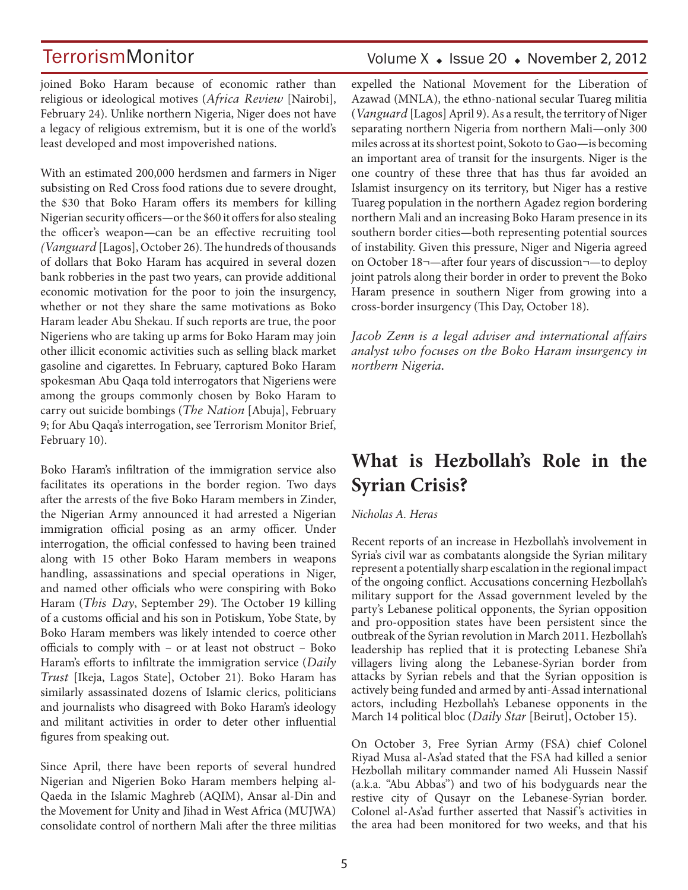joined Boko Haram because of economic rather than religious or ideological motives (*Africa Review* [Nairobi], February 24). Unlike northern Nigeria, Niger does not have a legacy of religious extremism, but it is one of the world's least developed and most impoverished nations.

With an estimated 200,000 herdsmen and farmers in Niger subsisting on Red Cross food rations due to severe drought, the \$30 that Boko Haram offers its members for killing Nigerian security officers—or the \$60 it offers for also stealing the officer's weapon—can be an effective recruiting tool *(Vanguard* [Lagos], October 26). The hundreds of thousands of dollars that Boko Haram has acquired in several dozen bank robberies in the past two years, can provide additional economic motivation for the poor to join the insurgency, whether or not they share the same motivations as Boko Haram leader Abu Shekau. If such reports are true, the poor Nigeriens who are taking up arms for Boko Haram may join other illicit economic activities such as selling black market gasoline and cigarettes. In February, captured Boko Haram spokesman Abu Qaqa told interrogators that Nigeriens were among the groups commonly chosen by Boko Haram to carry out suicide bombings (*The Nation* [Abuja], February 9; for Abu Qaqa's interrogation, see Terrorism Monitor Brief, February 10).

Boko Haram's infiltration of the immigration service also facilitates its operations in the border region. Two days after the arrests of the five Boko Haram members in Zinder, the Nigerian Army announced it had arrested a Nigerian immigration official posing as an army officer. Under interrogation, the official confessed to having been trained along with 15 other Boko Haram members in weapons handling, assassinations and special operations in Niger, and named other officials who were conspiring with Boko Haram (*This Day*, September 29). The October 19 killing of a customs official and his son in Potiskum, Yobe State, by Boko Haram members was likely intended to coerce other officials to comply with – or at least not obstruct – Boko Haram's efforts to infiltrate the immigration service (*Daily Trust* [Ikeja, Lagos State], October 21). Boko Haram has similarly assassinated dozens of Islamic clerics, politicians and journalists who disagreed with Boko Haram's ideology and militant activities in order to deter other influential figures from speaking out.

Since April, there have been reports of several hundred Nigerian and Nigerien Boko Haram members helping al-Qaeda in the Islamic Maghreb (AQIM), Ansar al-Din and the Movement for Unity and Jihad in West Africa (MUJWA) consolidate control of northern Mali after the three militias

### Volume  $X \triangleleft$  Issue 20  $\triangleleft$  November 2, 2012

expelled the National Movement for the Liberation of Azawad (MNLA), the ethno-national secular Tuareg militia (*Vanguard* [Lagos] April 9). As a result, the territory of Niger separating northern Nigeria from northern Mali—only 300 miles across at its shortest point, Sokoto to Gao—is becoming an important area of transit for the insurgents. Niger is the one country of these three that has thus far avoided an Islamist insurgency on its territory, but Niger has a restive Tuareg population in the northern Agadez region bordering northern Mali and an increasing Boko Haram presence in its southern border cities—both representing potential sources of instability. Given this pressure, Niger and Nigeria agreed on October 18¬—after four years of discussion¬—to deploy joint patrols along their border in order to prevent the Boko Haram presence in southern Niger from growing into a cross-border insurgency (This Day, October 18).

*Jacob Zenn is a legal adviser and international affairs analyst who focuses on the Boko Haram insurgency in northern Nigeria.* 

## **What is Hezbollah's Role in the Syrian Crisis?**

#### *Nicholas A. Heras*

Recent reports of an increase in Hezbollah's involvement in Syria's civil war as combatants alongside the Syrian military represent a potentially sharp escalation in the regional impact of the ongoing conflict. Accusations concerning Hezbollah's military support for the Assad government leveled by the party's Lebanese political opponents, the Syrian opposition and pro-opposition states have been persistent since the outbreak of the Syrian revolution in March 2011. Hezbollah's leadership has replied that it is protecting Lebanese Shi'a villagers living along the Lebanese-Syrian border from attacks by Syrian rebels and that the Syrian opposition is actively being funded and armed by anti-Assad international actors, including Hezbollah's Lebanese opponents in the March 14 political bloc (*Daily Star* [Beirut], October 15).

On October 3, Free Syrian Army (FSA) chief Colonel Riyad Musa al-As'ad stated that the FSA had killed a senior Hezbollah military commander named Ali Hussein Nassif (a.k.a. "Abu Abbas") and two of his bodyguards near the restive city of Qusayr on the Lebanese-Syrian border. Colonel al-As'ad further asserted that Nassif 's activities in the area had been monitored for two weeks, and that his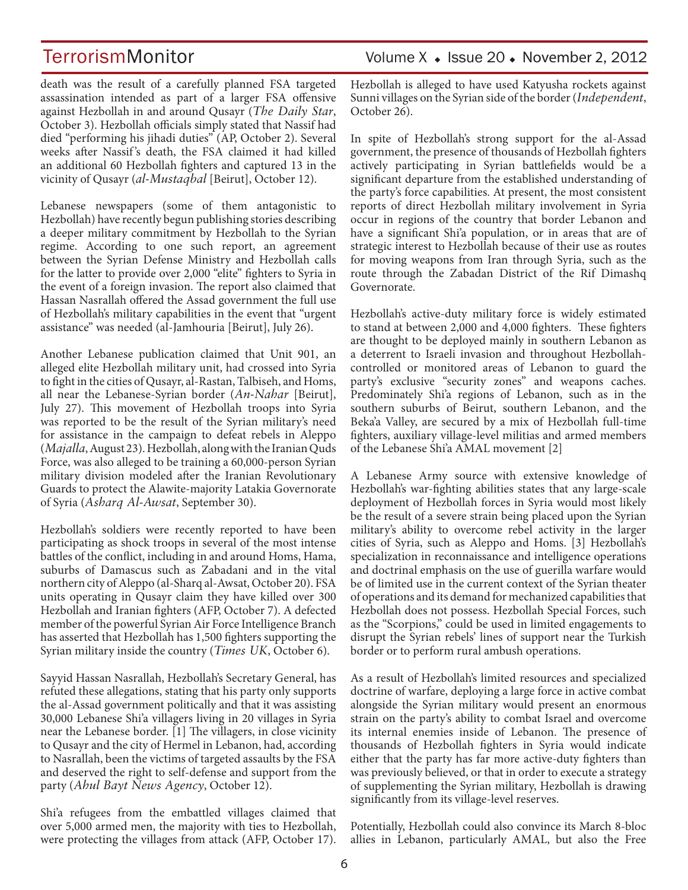death was the result of a carefully planned FSA targeted assassination intended as part of a larger FSA offensive against Hezbollah in and around Qusayr (*The Daily Star*, October 3). Hezbollah officials simply stated that Nassif had died "performing his jihadi duties" (AP, October 2). Several weeks after Nassif 's death, the FSA claimed it had killed an additional 60 Hezbollah fighters and captured 13 in the vicinity of Qusayr (*al-Mustaqbal* [Beirut], October 12).

Lebanese newspapers (some of them antagonistic to Hezbollah) have recently begun publishing stories describing a deeper military commitment by Hezbollah to the Syrian regime. According to one such report, an agreement between the Syrian Defense Ministry and Hezbollah calls for the latter to provide over 2,000 "elite" fighters to Syria in the event of a foreign invasion. The report also claimed that Hassan Nasrallah offered the Assad government the full use of Hezbollah's military capabilities in the event that "urgent assistance" was needed (al-Jamhouria [Beirut], July 26).

Another Lebanese publication claimed that Unit 901, an alleged elite Hezbollah military unit, had crossed into Syria to fight in the cities of Qusayr, al-Rastan, Talbiseh, and Homs, all near the Lebanese-Syrian border (*An-Nahar* [Beirut], July 27). This movement of Hezbollah troops into Syria was reported to be the result of the Syrian military's need for assistance in the campaign to defeat rebels in Aleppo (*Majalla*, August 23). Hezbollah, along with the Iranian Quds Force, was also alleged to be training a 60,000-person Syrian military division modeled after the Iranian Revolutionary Guards to protect the Alawite-majority Latakia Governorate of Syria (*Asharq Al-Awsat*, September 30).

Hezbollah's soldiers were recently reported to have been participating as shock troops in several of the most intense battles of the conflict, including in and around Homs, Hama, suburbs of Damascus such as Zabadani and in the vital northern city of Aleppo (al-Sharq al-Awsat, October 20). FSA units operating in Qusayr claim they have killed over 300 Hezbollah and Iranian fighters (AFP, October 7). A defected member of the powerful Syrian Air Force Intelligence Branch has asserted that Hezbollah has 1,500 fighters supporting the Syrian military inside the country (*Times UK*, October 6).

Sayyid Hassan Nasrallah, Hezbollah's Secretary General, has refuted these allegations, stating that his party only supports the al-Assad government politically and that it was assisting 30,000 Lebanese Shi'a villagers living in 20 villages in Syria near the Lebanese border. [1] The villagers, in close vicinity to Qusayr and the city of Hermel in Lebanon, had, according to Nasrallah, been the victims of targeted assaults by the FSA and deserved the right to self-defense and support from the party (*Ahul Bayt News Agency*, October 12).

Shi'a refugees from the embattled villages claimed that over 5,000 armed men, the majority with ties to Hezbollah, were protecting the villages from attack (AFP, October 17). Hezbollah is alleged to have used Katyusha rockets against Sunni villages on the Syrian side of the border (*Independent*, October 26).

In spite of Hezbollah's strong support for the al-Assad government, the presence of thousands of Hezbollah fighters actively participating in Syrian battlefields would be a significant departure from the established understanding of the party's force capabilities. At present, the most consistent reports of direct Hezbollah military involvement in Syria occur in regions of the country that border Lebanon and have a significant Shi'a population, or in areas that are of strategic interest to Hezbollah because of their use as routes for moving weapons from Iran through Syria, such as the route through the Zabadan District of the Rif Dimashq Governorate.

Hezbollah's active-duty military force is widely estimated to stand at between 2,000 and 4,000 fighters. These fighters are thought to be deployed mainly in southern Lebanon as a deterrent to Israeli invasion and throughout Hezbollahcontrolled or monitored areas of Lebanon to guard the party's exclusive "security zones" and weapons caches. Predominately Shi'a regions of Lebanon, such as in the southern suburbs of Beirut, southern Lebanon, and the Beka'a Valley, are secured by a mix of Hezbollah full-time fighters, auxiliary village-level militias and armed members of the Lebanese Shi'a AMAL movement [2]

A Lebanese Army source with extensive knowledge of Hezbollah's war-fighting abilities states that any large-scale deployment of Hezbollah forces in Syria would most likely be the result of a severe strain being placed upon the Syrian military's ability to overcome rebel activity in the larger cities of Syria, such as Aleppo and Homs. [3] Hezbollah's specialization in reconnaissance and intelligence operations and doctrinal emphasis on the use of guerilla warfare would be of limited use in the current context of the Syrian theater of operations and its demand for mechanized capabilities that Hezbollah does not possess. Hezbollah Special Forces, such as the "Scorpions," could be used in limited engagements to disrupt the Syrian rebels' lines of support near the Turkish border or to perform rural ambush operations.

As a result of Hezbollah's limited resources and specialized doctrine of warfare, deploying a large force in active combat alongside the Syrian military would present an enormous strain on the party's ability to combat Israel and overcome its internal enemies inside of Lebanon. The presence of thousands of Hezbollah fighters in Syria would indicate either that the party has far more active-duty fighters than was previously believed, or that in order to execute a strategy of supplementing the Syrian military, Hezbollah is drawing significantly from its village-level reserves.

Potentially, Hezbollah could also convince its March 8-bloc allies in Lebanon, particularly AMAL, but also the Free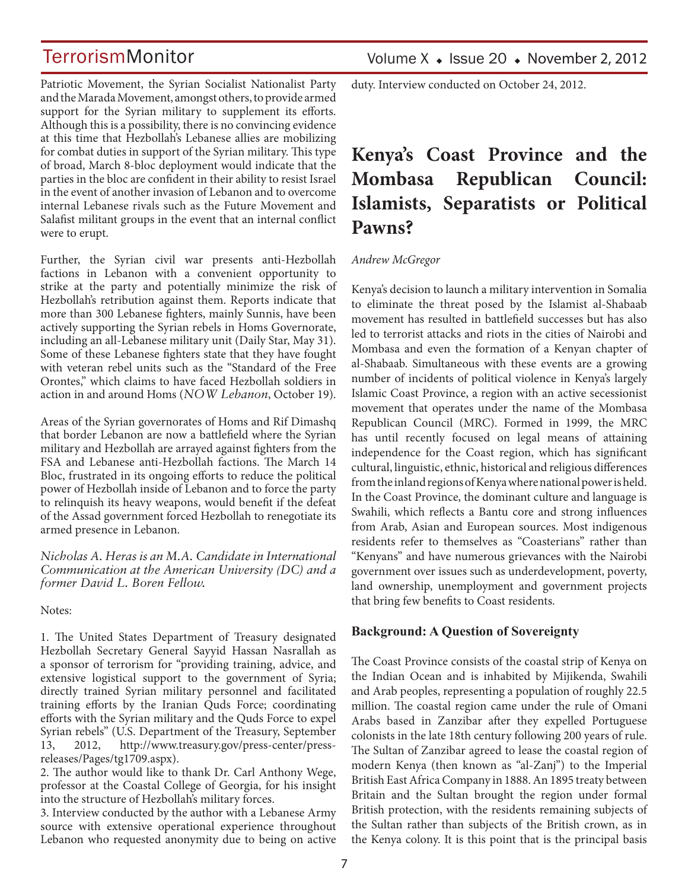Patriotic Movement, the Syrian Socialist Nationalist Party and the Marada Movement, amongst others, to provide armed support for the Syrian military to supplement its efforts. Although this is a possibility, there is no convincing evidence at this time that Hezbollah's Lebanese allies are mobilizing for combat duties in support of the Syrian military. This type of broad, March 8-bloc deployment would indicate that the parties in the bloc are confident in their ability to resist Israel in the event of another invasion of Lebanon and to overcome internal Lebanese rivals such as the Future Movement and Salafist militant groups in the event that an internal conflict were to erupt.

Further, the Syrian civil war presents anti-Hezbollah factions in Lebanon with a convenient opportunity to strike at the party and potentially minimize the risk of Hezbollah's retribution against them. Reports indicate that more than 300 Lebanese fighters, mainly Sunnis, have been actively supporting the Syrian rebels in Homs Governorate, including an all-Lebanese military unit (Daily Star, May 31). Some of these Lebanese fighters state that they have fought with veteran rebel units such as the "Standard of the Free Orontes," which claims to have faced Hezbollah soldiers in action in and around Homs (*NOW Lebanon*, October 19).

Areas of the Syrian governorates of Homs and Rif Dimashq that border Lebanon are now a battlefield where the Syrian military and Hezbollah are arrayed against fighters from the FSA and Lebanese anti-Hezbollah factions. The March 14 Bloc, frustrated in its ongoing efforts to reduce the political power of Hezbollah inside of Lebanon and to force the party to relinquish its heavy weapons, would benefit if the defeat of the Assad government forced Hezbollah to renegotiate its armed presence in Lebanon.

*Nicholas A. Heras is an M.A. Candidate in International Communication at the American University (DC) and a former David L. Boren Fellow.*

Notes:

1. The United States Department of Treasury designated Hezbollah Secretary General Sayyid Hassan Nasrallah as a sponsor of terrorism for "providing training, advice, and extensive logistical support to the government of Syria; directly trained Syrian military personnel and facilitated training efforts by the Iranian Quds Force; coordinating efforts with the Syrian military and the Quds Force to expel Syrian rebels" (U.S. Department of the Treasury, September 13, 2012, http://www.treasury.gov/press-center/pressreleases/Pages/tg1709.aspx).

2. The author would like to thank Dr. Carl Anthony Wege, professor at the Coastal College of Georgia, for his insight into the structure of Hezbollah's military forces.

3. Interview conducted by the author with a Lebanese Army source with extensive operational experience throughout Lebanon who requested anonymity due to being on active duty. Interview conducted on October 24, 2012.

## **Kenya's Coast Province and the Mombasa Republican Council: Islamists, Separatists or Political Pawns?**

#### *Andrew McGregor*

Kenya's decision to launch a military intervention in Somalia to eliminate the threat posed by the Islamist al-Shabaab movement has resulted in battlefield successes but has also led to terrorist attacks and riots in the cities of Nairobi and Mombasa and even the formation of a Kenyan chapter of al-Shabaab. Simultaneous with these events are a growing number of incidents of political violence in Kenya's largely Islamic Coast Province, a region with an active secessionist movement that operates under the name of the Mombasa Republican Council (MRC). Formed in 1999, the MRC has until recently focused on legal means of attaining independence for the Coast region, which has significant cultural, linguistic, ethnic, historical and religious differences from the inland regions of Kenya where national power is held. In the Coast Province, the dominant culture and language is Swahili, which reflects a Bantu core and strong influences from Arab, Asian and European sources. Most indigenous residents refer to themselves as "Coasterians" rather than "Kenyans" and have numerous grievances with the Nairobi government over issues such as underdevelopment, poverty, land ownership, unemployment and government projects that bring few benefits to Coast residents.

#### **Background: A Question of Sovereignty**

The Coast Province consists of the coastal strip of Kenya on the Indian Ocean and is inhabited by Mijikenda, Swahili and Arab peoples, representing a population of roughly 22.5 million. The coastal region came under the rule of Omani Arabs based in Zanzibar after they expelled Portuguese colonists in the late 18th century following 200 years of rule. The Sultan of Zanzibar agreed to lease the coastal region of modern Kenya (then known as "al-Zanj") to the Imperial British East Africa Company in 1888. An 1895 treaty between Britain and the Sultan brought the region under formal British protection, with the residents remaining subjects of the Sultan rather than subjects of the British crown, as in the Kenya colony. It is this point that is the principal basis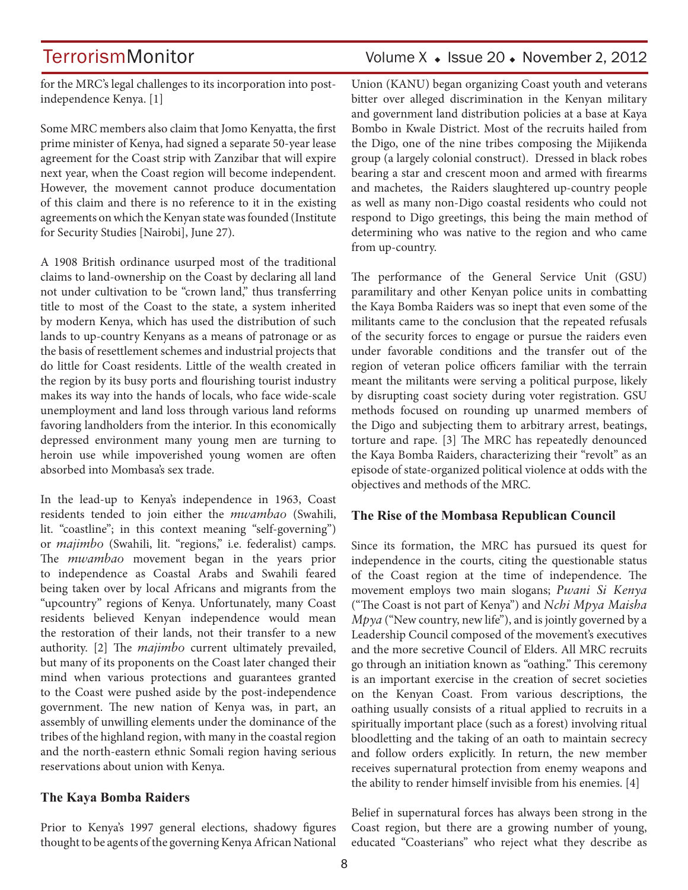for the MRC's legal challenges to its incorporation into postindependence Kenya. [1]

Some MRC members also claim that Jomo Kenyatta, the first prime minister of Kenya, had signed a separate 50-year lease agreement for the Coast strip with Zanzibar that will expire next year, when the Coast region will become independent. However, the movement cannot produce documentation of this claim and there is no reference to it in the existing agreements on which the Kenyan state was founded (Institute for Security Studies [Nairobi], June 27).

A 1908 British ordinance usurped most of the traditional claims to land-ownership on the Coast by declaring all land not under cultivation to be "crown land," thus transferring title to most of the Coast to the state, a system inherited by modern Kenya, which has used the distribution of such lands to up-country Kenyans as a means of patronage or as the basis of resettlement schemes and industrial projects that do little for Coast residents. Little of the wealth created in the region by its busy ports and flourishing tourist industry makes its way into the hands of locals, who face wide-scale unemployment and land loss through various land reforms favoring landholders from the interior. In this economically depressed environment many young men are turning to heroin use while impoverished young women are often absorbed into Mombasa's sex trade.

In the lead-up to Kenya's independence in 1963, Coast residents tended to join either the *mwambao* (Swahili, lit. "coastline"; in this context meaning "self-governing") or *majimbo* (Swahili, lit. "regions," i.e. federalist) camps. The *mwambao* movement began in the years prior to independence as Coastal Arabs and Swahili feared being taken over by local Africans and migrants from the "upcountry" regions of Kenya. Unfortunately, many Coast residents believed Kenyan independence would mean the restoration of their lands, not their transfer to a new authority. [2] The *majimbo* current ultimately prevailed, but many of its proponents on the Coast later changed their mind when various protections and guarantees granted to the Coast were pushed aside by the post-independence government. The new nation of Kenya was, in part, an assembly of unwilling elements under the dominance of the tribes of the highland region, with many in the coastal region and the north-eastern ethnic Somali region having serious reservations about union with Kenya.

### **The Kaya Bomba Raiders**

Prior to Kenya's 1997 general elections, shadowy figures thought to be agents of the governing Kenya African National

### TerrorismMonitor Volume X + Issue 20 + November 2, 2012

Union (KANU) began organizing Coast youth and veterans bitter over alleged discrimination in the Kenyan military and government land distribution policies at a base at Kaya Bombo in Kwale District. Most of the recruits hailed from the Digo, one of the nine tribes composing the Mijikenda group (a largely colonial construct). Dressed in black robes bearing a star and crescent moon and armed with firearms and machetes, the Raiders slaughtered up-country people as well as many non-Digo coastal residents who could not respond to Digo greetings, this being the main method of determining who was native to the region and who came from up-country.

The performance of the General Service Unit (GSU) paramilitary and other Kenyan police units in combatting the Kaya Bomba Raiders was so inept that even some of the militants came to the conclusion that the repeated refusals of the security forces to engage or pursue the raiders even under favorable conditions and the transfer out of the region of veteran police officers familiar with the terrain meant the militants were serving a political purpose, likely by disrupting coast society during voter registration. GSU methods focused on rounding up unarmed members of the Digo and subjecting them to arbitrary arrest, beatings, torture and rape. [3] The MRC has repeatedly denounced the Kaya Bomba Raiders, characterizing their "revolt" as an episode of state-organized political violence at odds with the objectives and methods of the MRC.

### **The Rise of the Mombasa Republican Council**

Since its formation, the MRC has pursued its quest for independence in the courts, citing the questionable status of the Coast region at the time of independence. The movement employs two main slogans; *Pwani Si Kenya*  ("The Coast is not part of Kenya") and *Nchi Mpya Maisha Mpya* ("New country, new life"), and is jointly governed by a Leadership Council composed of the movement's executives and the more secretive Council of Elders. All MRC recruits go through an initiation known as "oathing." This ceremony is an important exercise in the creation of secret societies on the Kenyan Coast. From various descriptions, the oathing usually consists of a ritual applied to recruits in a spiritually important place (such as a forest) involving ritual bloodletting and the taking of an oath to maintain secrecy and follow orders explicitly. In return, the new member receives supernatural protection from enemy weapons and the ability to render himself invisible from his enemies. [4]

Belief in supernatural forces has always been strong in the Coast region, but there are a growing number of young, educated "Coasterians" who reject what they describe as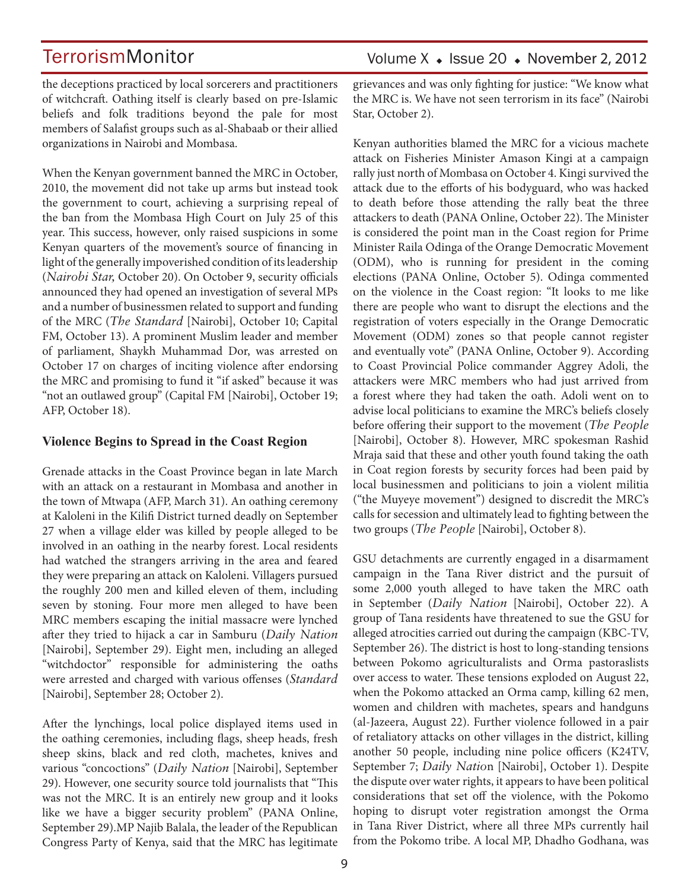Volume  $X \triangleleft$  Issue 20  $\triangleleft$  November 2, 2012

the deceptions practiced by local sorcerers and practitioners of witchcraft. Oathing itself is clearly based on pre-Islamic beliefs and folk traditions beyond the pale for most members of Salafist groups such as al-Shabaab or their allied organizations in Nairobi and Mombasa.

When the Kenyan government banned the MRC in October, 2010, the movement did not take up arms but instead took the government to court, achieving a surprising repeal of the ban from the Mombasa High Court on July 25 of this year. This success, however, only raised suspicions in some Kenyan quarters of the movement's source of financing in light of the generally impoverished condition of its leadership (*Nairobi Star,* October 20). On October 9, security officials announced they had opened an investigation of several MPs and a number of businessmen related to support and funding of the MRC (*The Standard* [Nairobi], October 10; Capital FM, October 13). A prominent Muslim leader and member of parliament, Shaykh Muhammad Dor, was arrested on October 17 on charges of inciting violence after endorsing the MRC and promising to fund it "if asked" because it was "not an outlawed group" (Capital FM [Nairobi], October 19; AFP, October 18).

#### **Violence Begins to Spread in the Coast Region**

Grenade attacks in the Coast Province began in late March with an attack on a restaurant in Mombasa and another in the town of Mtwapa (AFP, March 31). An oathing ceremony at Kaloleni in the Kilifi District turned deadly on September 27 when a village elder was killed by people alleged to be involved in an oathing in the nearby forest. Local residents had watched the strangers arriving in the area and feared they were preparing an attack on Kaloleni. Villagers pursued the roughly 200 men and killed eleven of them, including seven by stoning. Four more men alleged to have been MRC members escaping the initial massacre were lynched after they tried to hijack a car in Samburu (*Daily Nation* [Nairobi], September 29). Eight men, including an alleged "witchdoctor" responsible for administering the oaths were arrested and charged with various offenses (*Standard* [Nairobi], September 28; October 2).

After the lynchings, local police displayed items used in the oathing ceremonies, including flags, sheep heads, fresh sheep skins, black and red cloth, machetes, knives and various "concoctions" (*Daily Nation* [Nairobi], September 29). However, one security source told journalists that "This was not the MRC. It is an entirely new group and it looks like we have a bigger security problem" (PANA Online, September 29).MP Najib Balala, the leader of the Republican Congress Party of Kenya, said that the MRC has legitimate grievances and was only fighting for justice: "We know what the MRC is. We have not seen terrorism in its face" (Nairobi Star, October 2).

Kenyan authorities blamed the MRC for a vicious machete attack on Fisheries Minister Amason Kingi at a campaign rally just north of Mombasa on October 4. Kingi survived the attack due to the efforts of his bodyguard, who was hacked to death before those attending the rally beat the three attackers to death (PANA Online, October 22). The Minister is considered the point man in the Coast region for Prime Minister Raila Odinga of the Orange Democratic Movement (ODM), who is running for president in the coming elections (PANA Online, October 5). Odinga commented on the violence in the Coast region: "It looks to me like there are people who want to disrupt the elections and the registration of voters especially in the Orange Democratic Movement (ODM) zones so that people cannot register and eventually vote" (PANA Online, October 9). According to Coast Provincial Police commander Aggrey Adoli, the attackers were MRC members who had just arrived from a forest where they had taken the oath. Adoli went on to advise local politicians to examine the MRC's beliefs closely before offering their support to the movement (*The People* [Nairobi], October 8). However, MRC spokesman Rashid Mraja said that these and other youth found taking the oath in Coat region forests by security forces had been paid by local businessmen and politicians to join a violent militia ("the Muyeye movement") designed to discredit the MRC's calls for secession and ultimately lead to fighting between the two groups (*The People* [Nairobi], October 8).

GSU detachments are currently engaged in a disarmament campaign in the Tana River district and the pursuit of some 2,000 youth alleged to have taken the MRC oath in September (*Daily Nation* [Nairobi], October 22). A group of Tana residents have threatened to sue the GSU for alleged atrocities carried out during the campaign (KBC-TV, September 26). The district is host to long-standing tensions between Pokomo agriculturalists and Orma pastoraslists over access to water. These tensions exploded on August 22, when the Pokomo attacked an Orma camp, killing 62 men, women and children with machetes, spears and handguns (al-Jazeera, August 22). Further violence followed in a pair of retaliatory attacks on other villages in the district, killing another 50 people, including nine police officers (K24TV, September 7; *Daily Natio*n [Nairobi], October 1). Despite the dispute over water rights, it appears to have been political considerations that set off the violence, with the Pokomo hoping to disrupt voter registration amongst the Orma in Tana River District, where all three MPs currently hail from the Pokomo tribe. A local MP, Dhadho Godhana, was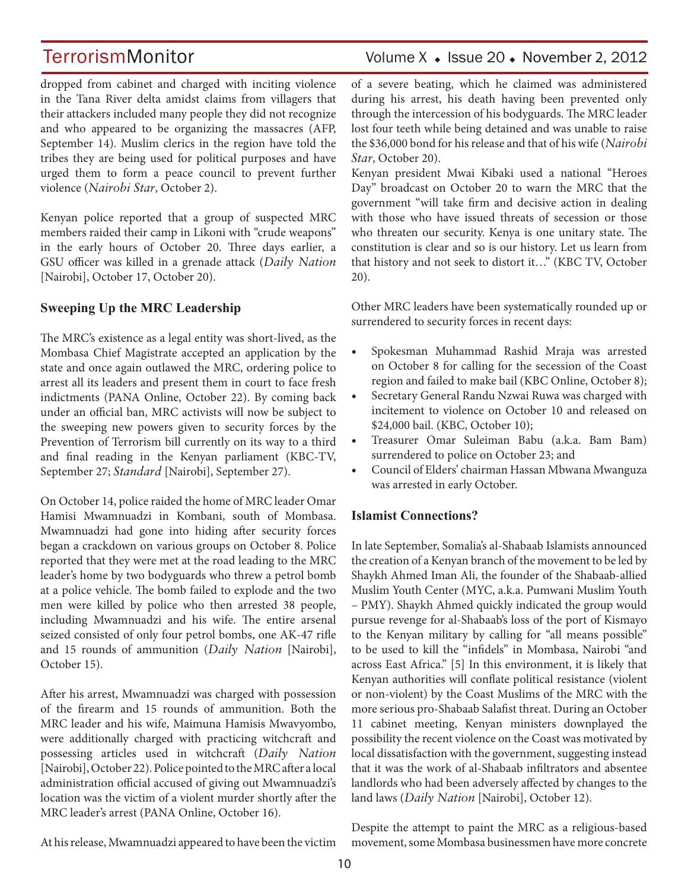### TerrorismMonitor Volume X + Issue 20 + November 2, 2012

dropped from cabinet and charged with inciting violence in the Tana River delta amidst claims from villagers that their attackers included many people they did not recognize and who appeared to be organizing the massacres (AFP, September 14). Muslim clerics in the region have told the tribes they are being used for political purposes and have urged them to form a peace council to prevent further violence (*Nairobi Star*, October 2).

Kenyan police reported that a group of suspected MRC members raided their camp in Likoni with "crude weapons" in the early hours of October 20. Three days earlier, a GSU officer was killed in a grenade attack (*Daily Nation* [Nairobi], October 17, October 20).

### **Sweeping Up the MRC Leadership**

The MRC's existence as a legal entity was short-lived, as the Mombasa Chief Magistrate accepted an application by the state and once again outlawed the MRC, ordering police to arrest all its leaders and present them in court to face fresh indictments (PANA Online, October 22). By coming back under an official ban, MRC activists will now be subject to the sweeping new powers given to security forces by the Prevention of Terrorism bill currently on its way to a third and final reading in the Kenyan parliament (KBC-TV, September 27; *Standard* [Nairobi], September 27).

On October 14, police raided the home of MRC leader Omar Hamisi Mwamnuadzi in Kombani, south of Mombasa. Mwamnuadzi had gone into hiding after security forces began a crackdown on various groups on October 8. Police reported that they were met at the road leading to the MRC leader's home by two bodyguards who threw a petrol bomb at a police vehicle. The bomb failed to explode and the two men were killed by police who then arrested 38 people, including Mwamnuadzi and his wife. The entire arsenal seized consisted of only four petrol bombs, one AK-47 rifle and 15 rounds of ammunition (*Daily Nation* [Nairobi], October 15).

After his arrest, Mwamnuadzi was charged with possession of the firearm and 15 rounds of ammunition. Both the MRC leader and his wife, Maimuna Hamisis Mwavyombo, were additionally charged with practicing witchcraft and possessing articles used in witchcraft (*Daily Nation* [Nairobi], October 22). Police pointed to the MRC after a local administration official accused of giving out Mwamnuadzi's location was the victim of a violent murder shortly after the MRC leader's arrest (PANA Online, October 16).

of a severe beating, which he claimed was administered during his arrest, his death having been prevented only through the intercession of his bodyguards. The MRC leader lost four teeth while being detained and was unable to raise the \$36,000 bond for his release and that of his wife (*Nairobi Star*, October 20).

Kenyan president Mwai Kibaki used a national "Heroes Day" broadcast on October 20 to warn the MRC that the government "will take firm and decisive action in dealing with those who have issued threats of secession or those who threaten our security. Kenya is one unitary state. The constitution is clear and so is our history. Let us learn from that history and not seek to distort it…" (KBC TV, October 20).

Other MRC leaders have been systematically rounded up or surrendered to security forces in recent days:

- Spokesman Muhammad Rashid Mraja was arrested on October 8 for calling for the secession of the Coast region and failed to make bail (KBC Online, October 8);
- Secretary General Randu Nzwai Ruwa was charged with incitement to violence on October 10 and released on \$24,000 bail. (KBC, October 10);
- Treasurer Omar Suleiman Babu (a.k.a. Bam Bam) surrendered to police on October 23; and
- Council of Elders' chairman Hassan Mbwana Mwanguza was arrested in early October.

### **Islamist Connections?**

In late September, Somalia's al-Shabaab Islamists announced the creation of a Kenyan branch of the movement to be led by Shaykh Ahmed Iman Ali, the founder of the Shabaab-allied Muslim Youth Center (MYC, a.k.a. Pumwani Muslim Youth – PMY). Shaykh Ahmed quickly indicated the group would pursue revenge for al-Shabaab's loss of the port of Kismayo to the Kenyan military by calling for "all means possible" to be used to kill the "infidels" in Mombasa, Nairobi "and across East Africa." [5] In this environment, it is likely that Kenyan authorities will conflate political resistance (violent or non-violent) by the Coast Muslims of the MRC with the more serious pro-Shabaab Salafist threat. During an October 11 cabinet meeting, Kenyan ministers downplayed the possibility the recent violence on the Coast was motivated by local dissatisfaction with the government, suggesting instead that it was the work of al-Shabaab infiltrators and absentee landlords who had been adversely affected by changes to the land laws (*Daily Nation* [Nairobi], October 12).

At his release, Mwamnuadzi appeared to have been the victim

Despite the attempt to paint the MRC as a religious-based movement, some Mombasa businessmen have more concrete